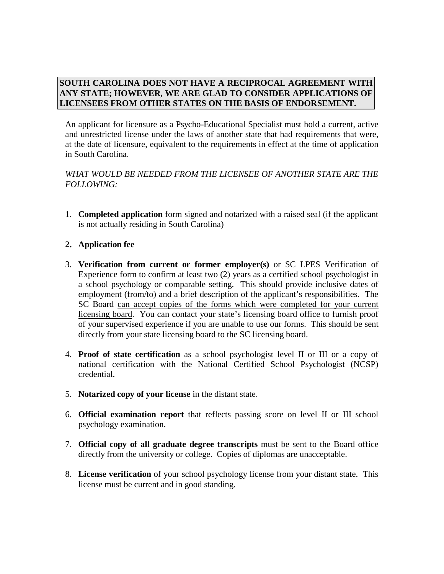## **SOUTH CAROLINA DOES NOT HAVE A RECIPROCAL AGREEMENT WITH ANY STATE; HOWEVER, WE ARE GLAD TO CONSIDER APPLICATIONS OF LICENSEES FROM OTHER STATES ON THE BASIS OF ENDORSEMENT.**

An applicant for licensure as a Psycho-Educational Specialist must hold a current, active and unrestricted license under the laws of another state that had requirements that were, at the date of licensure, equivalent to the requirements in effect at the time of application in South Carolina.

## *WHAT WOULD BE NEEDED FROM THE LICENSEE OF ANOTHER STATE ARE THE FOLLOWING:*

1. **Completed application** form signed and notarized with a raised seal (if the applicant is not actually residing in South Carolina)

## **2. Application fee**

- 3. **Verification from current or former employer(s)** or SC LPES Verification of Experience form to confirm at least two (2) years as a certified school psychologist in a school psychology or comparable setting. This should provide inclusive dates of employment (from/to) and a brief description of the applicant's responsibilities. The SC Board can accept copies of the forms which were completed for your current licensing board. You can contact your state's licensing board office to furnish proof of your supervised experience if you are unable to use our forms. This should be sent directly from your state licensing board to the SC licensing board.
- 4. **Proof of state certification** as a school psychologist level II or III or a copy of national certification with the National Certified School Psychologist (NCSP) credential.
- 5. **Notarized copy of your license** in the distant state.
- 6. **Official examination report** that reflects passing score on level II or III school psychology examination.
- 7. **Official copy of all graduate degree transcripts** must be sent to the Board office directly from the university or college. Copies of diplomas are unacceptable.
- 8. **License verification** of your school psychology license from your distant state. This license must be current and in good standing.